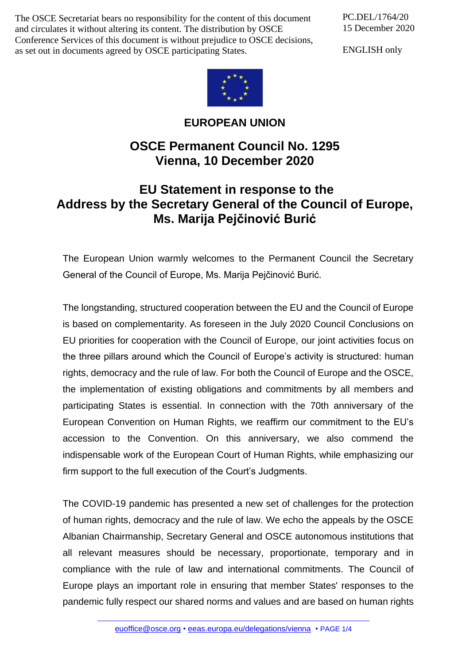The OSCE Secretariat bears no responsibility for the content of this document and circulates it without altering its content. The distribution by OSCE Conference Services of this document is without prejudice to OSCE decisions, as set out in documents agreed by OSCE participating States.

PC.DEL/1764/20 15 December 2020

ENGLISH only



**EUROPEAN UNION**

## **OSCE Permanent Council No. 1295 Vienna, 10 December 2020**

## **EU Statement in response to the Address by the Secretary General of the Council of Europe, Ms. Marija Pejčinović Burić**

The European Union warmly welcomes to the Permanent Council the Secretary General of the Council of Europe, Ms. Marija Pejčinović Burić.

The longstanding, structured cooperation between the EU and the Council of Europe is based on complementarity. As foreseen in the July 2020 Council Conclusions on EU priorities for cooperation with the Council of Europe, our joint activities focus on the three pillars around which the Council of Europe's activity is structured: human rights, democracy and the rule of law. For both the Council of Europe and the OSCE, the implementation of existing obligations and commitments by all members and participating States is essential. In connection with the 70th anniversary of the European Convention on Human Rights, we reaffirm our commitment to the EU's accession to the Convention. On this anniversary, we also commend the indispensable work of the European Court of Human Rights, while emphasizing our firm support to the full execution of the Court's Judgments.

The COVID-19 pandemic has presented a new set of challenges for the protection of human rights, democracy and the rule of law. We echo the appeals by the OSCE Albanian Chairmanship, Secretary General and OSCE autonomous institutions that all relevant measures should be necessary, proportionate, temporary and in compliance with the rule of law and international commitments. The Council of Europe plays an important role in ensuring that member States' responses to the pandemic fully respect our shared norms and values and are based on human rights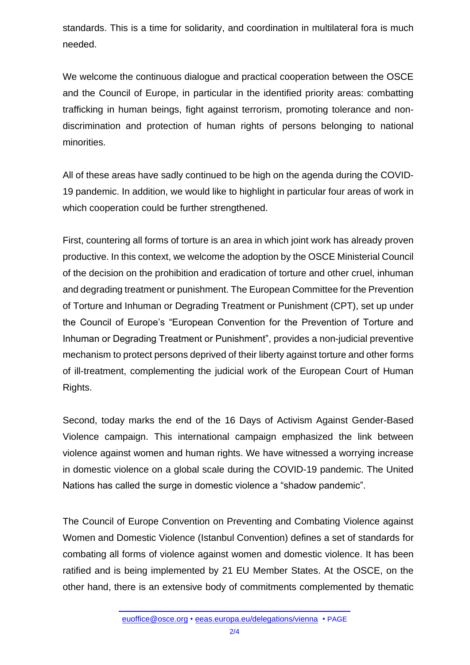standards. This is a time for solidarity, and coordination in multilateral fora is much needed.

We welcome the continuous dialogue and practical cooperation between the OSCE and the Council of Europe, in particular in the identified priority areas: combatting trafficking in human beings, fight against terrorism, promoting tolerance and nondiscrimination and protection of human rights of persons belonging to national minorities.

All of these areas have sadly continued to be high on the agenda during the COVID-19 pandemic. In addition, we would like to highlight in particular four areas of work in which cooperation could be further strengthened.

First, countering all forms of torture is an area in which joint work has already proven productive. In this context, we welcome the adoption by the OSCE Ministerial Council of the decision on the prohibition and eradication of torture and other cruel, inhuman and degrading treatment or punishment. The European Committee for the Prevention of Torture and Inhuman or Degrading Treatment or Punishment (CPT), set up under the Council of Europe's "European Convention for the Prevention of Torture and Inhuman or Degrading Treatment or Punishment", provides a non-judicial preventive mechanism to protect persons deprived of their liberty against torture and other forms of ill-treatment, complementing the judicial work of the European Court of Human Rights.

Second, today marks the end of the 16 Days of Activism Against Gender-Based Violence campaign. This international campaign emphasized the link between violence against women and human rights. We have witnessed a worrying increase in domestic violence on a global scale during the COVID-19 pandemic. The United Nations has called the surge in domestic violence a "shadow pandemic".

The Council of Europe Convention on Preventing and Combating Violence against Women and Domestic Violence (Istanbul Convention) defines a set of standards for combating all forms of violence against women and domestic violence. It has been ratified and is being implemented by 21 EU Member States. At the OSCE, on the other hand, there is an extensive body of commitments complemented by thematic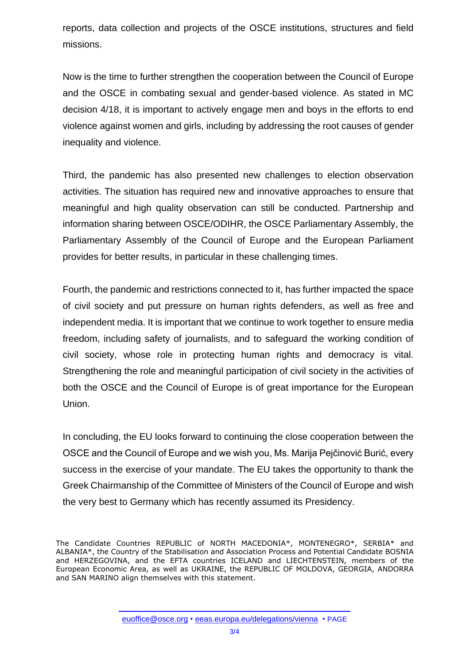reports, data collection and projects of the OSCE institutions, structures and field missions.

Now is the time to further strengthen the cooperation between the Council of Europe and the OSCE in combating sexual and gender-based violence. As stated in MC decision 4/18, it is important to actively engage men and boys in the efforts to end violence against women and girls, including by addressing the root causes of gender inequality and violence.

Third, the pandemic has also presented new challenges to election observation activities. The situation has required new and innovative approaches to ensure that meaningful and high quality observation can still be conducted. Partnership and information sharing between OSCE/ODIHR, the OSCE Parliamentary Assembly, the Parliamentary Assembly of the Council of Europe and the European Parliament provides for better results, in particular in these challenging times.

Fourth, the pandemic and restrictions connected to it, has further impacted the space of civil society and put pressure on human rights defenders, as well as free and independent media. It is important that we continue to work together to ensure media freedom, including safety of journalists, and to safeguard the working condition of civil society, whose role in protecting human rights and democracy is vital. Strengthening the role and meaningful participation of civil society in the activities of both the OSCE and the Council of Europe is of great importance for the European Union.

In concluding, the EU looks forward to continuing the close cooperation between the OSCE and the Council of Europe and we wish you, Ms. Marija Pejčinović Burić, every success in the exercise of your mandate. The EU takes the opportunity to thank the Greek Chairmanship of the Committee of Ministers of the Council of Europe and wish the very best to Germany which has recently assumed its Presidency.

The Candidate Countries REPUBLIC of NORTH MACEDONIA\*, MONTENEGRO\*, SERBIA\* and ALBANIA\*, the Country of the Stabilisation and Association Process and Potential Candidate BOSNIA and HERZEGOVINA, and the EFTA countries ICELAND and LIECHTENSTEIN, members of the European Economic Area, as well as UKRAINE, the REPUBLIC OF MOLDOVA, GEORGIA, ANDORRA and SAN MARINO align themselves with this statement.